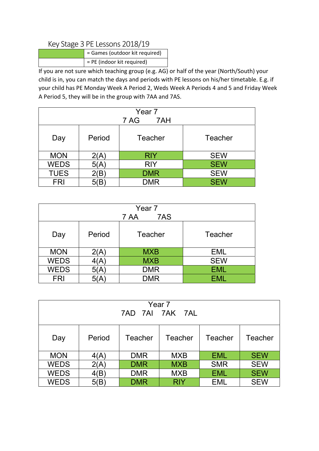## Key Stage 3 PE Lessons 2018/19

| = Games (outdoor kit required) |
|--------------------------------|
| = PE (indoor kit required)     |

If you are not sure which teaching group (e.g. AG) or half of the year (North/South) your child is in, you can match the days and periods with PE lessons on his/her timetable. E.g. if your child has PE Monday Week A Period 2, Weds Week A Periods 4 and 5 and Friday Week A Period 5, they will be in the group with 7AA and 7AS.

| Year 7<br>7 AG<br>7AH                          |                                  |  |  |  |  |  |  |
|------------------------------------------------|----------------------------------|--|--|--|--|--|--|
| Period<br>Teacher<br>Teacher<br>Day            |                                  |  |  |  |  |  |  |
| <b>MON</b><br><b>RIY</b><br><b>SEW</b><br>2(A) |                                  |  |  |  |  |  |  |
| <b>WEDS</b>                                    | <b>SEW</b><br><b>RIY</b><br>5(A) |  |  |  |  |  |  |
| <b>TUES</b>                                    | <b>SEW</b><br><b>DMR</b><br>B    |  |  |  |  |  |  |
| <b>FRI</b>                                     | <b>SEW</b><br>DMR                |  |  |  |  |  |  |

| Year <sub>7</sub><br>7AS<br>7 AA               |                               |            |            |  |  |  |  |
|------------------------------------------------|-------------------------------|------------|------------|--|--|--|--|
| Period<br>Teacher<br>Teacher<br>Day            |                               |            |            |  |  |  |  |
| <b>MON</b><br><b>MXB</b><br><b>EML</b><br>2(A) |                               |            |            |  |  |  |  |
| <b>WEDS</b>                                    | <b>SEW</b><br><b>MXB</b><br>Ά |            |            |  |  |  |  |
| <b>WEDS</b>                                    | 5(A)                          | <b>DMR</b> | <b>EML</b> |  |  |  |  |
| <b>FRI</b>                                     |                               | <b>DMR</b> | EML.       |  |  |  |  |

| Year 7<br>7AD 7AI 7AK 7AL                                 |      |            |            |            |            |  |  |
|-----------------------------------------------------------|------|------------|------------|------------|------------|--|--|
| Period<br>Teacher<br>Teacher<br>Teacher<br>Teacher<br>Day |      |            |            |            |            |  |  |
| <b>MON</b>                                                | 4(A) | <b>DMR</b> | <b>MXB</b> | <b>EML</b> | <b>SEW</b> |  |  |
| <b>WEDS</b>                                               | 2(A) | <b>DMR</b> | <b>MXB</b> | <b>SMR</b> | <b>SEW</b> |  |  |
| <b>WEDS</b>                                               | 4(B) | <b>DMR</b> | <b>MXB</b> | <b>EML</b> | <b>SEW</b> |  |  |
| <b>WEDS</b>                                               | 5(B) | <b>DMR</b> | <b>RIY</b> | EML        | <b>SEW</b> |  |  |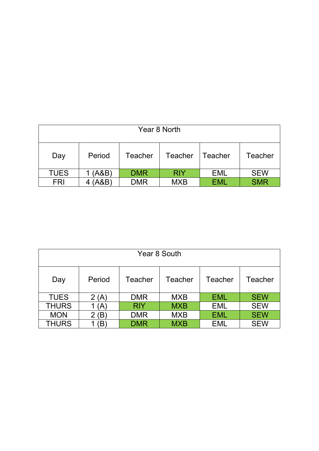| Year 8 North                                                     |        |            |            |            |            |  |
|------------------------------------------------------------------|--------|------------|------------|------------|------------|--|
| Period<br>Teacher<br><b>Teacher</b><br>Teacher<br>Teacher<br>Day |        |            |            |            |            |  |
| <b>TUES</b>                                                      | 1(A&B) | <b>DMR</b> | <b>RIY</b> | EML        | <b>SEW</b> |  |
| <b>FRI</b>                                                       | (A&B)  | <b>DMR</b> | <b>MXB</b> | <b>EML</b> | <b>SMR</b> |  |

| Year 8 South                                              |      |            |            |            |            |  |
|-----------------------------------------------------------|------|------------|------------|------------|------------|--|
| Period<br>Teacher<br>Teacher<br>Teacher<br>Teacher<br>Day |      |            |            |            |            |  |
| <b>TUES</b>                                               | 2(A) | <b>DMR</b> | <b>MXB</b> | <b>EML</b> | <b>SEW</b> |  |
| <b>THURS</b>                                              | (A)  | <b>RIY</b> | <b>MXB</b> | <b>EML</b> | <b>SEW</b> |  |
| <b>MON</b>                                                | Έ    | <b>DMR</b> | <b>MXB</b> | <b>EML</b> | <b>SEW</b> |  |
| <b>THURS</b>                                              | B    | <b>DMR</b> | <b>MXB</b> | <b>EML</b> | <b>SEW</b> |  |